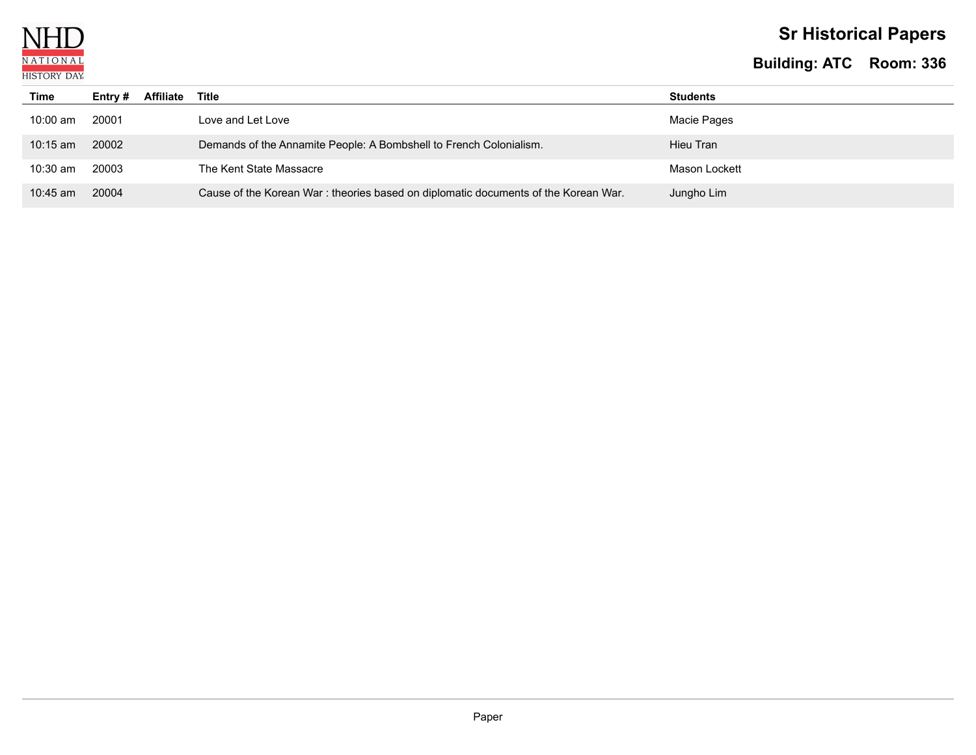

# **Sr Historical Papers**

| Time       | Affiliate<br>Entry $#$ | Title                                                                               | <b>Students</b> |
|------------|------------------------|-------------------------------------------------------------------------------------|-----------------|
| 10:00 am   | 20001                  | Love and Let Love                                                                   | Macie Pages     |
| $10:15$ am | 20002                  | Demands of the Annamite People: A Bombshell to French Colonialism.                  | Hieu Tran       |
| $10:30$ am | 20003                  | The Kent State Massacre                                                             | Mason Lockett   |
| $10:45$ am | 20004                  | Cause of the Korean War : theories based on diplomatic documents of the Korean War. | Jungho Lim      |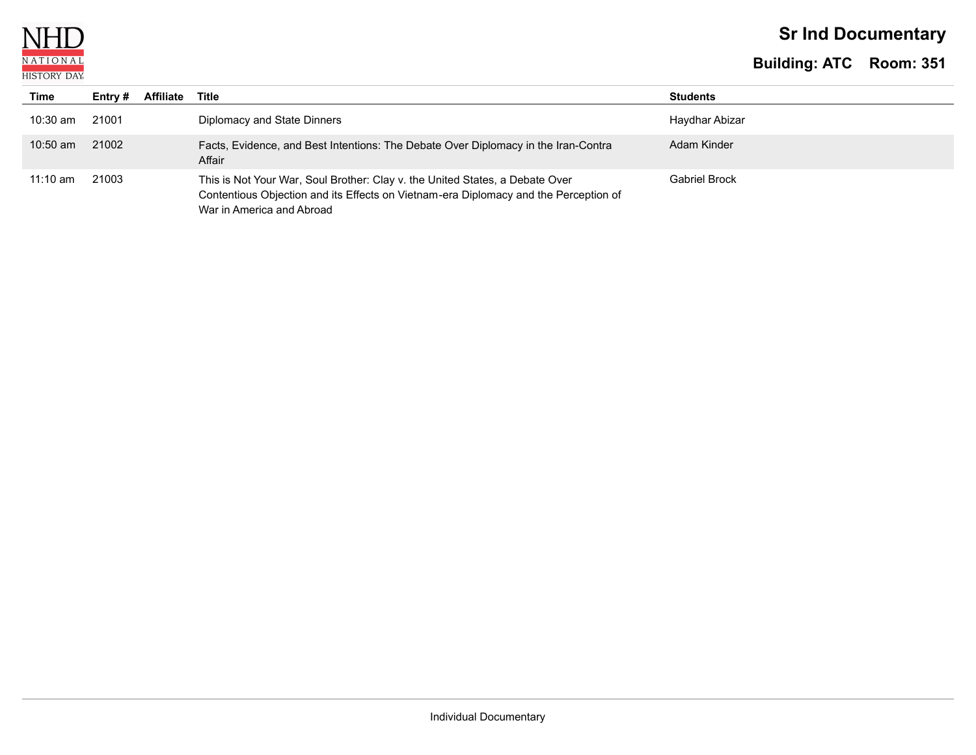N NATIONAL **HISTORY DAY** 

# **Sr Ind Documentary**

| Time       | Entry # | Affiliate | Title                                                                                                                                                                                             | <b>Students</b> |
|------------|---------|-----------|---------------------------------------------------------------------------------------------------------------------------------------------------------------------------------------------------|-----------------|
| $10:30$ am | 21001   |           | Diplomacy and State Dinners                                                                                                                                                                       | Haydhar Abizar  |
| $10:50$ am | 21002   |           | Facts, Evidence, and Best Intentions: The Debate Over Diplomacy in the Iran-Contra<br>Affair                                                                                                      | Adam Kinder     |
| $11:10$ am | 21003   |           | This is Not Your War, Soul Brother: Clay v. the United States, a Debate Over<br>Contentious Objection and its Effects on Vietnam-era Diplomacy and the Perception of<br>War in America and Abroad | Gabriel Brock   |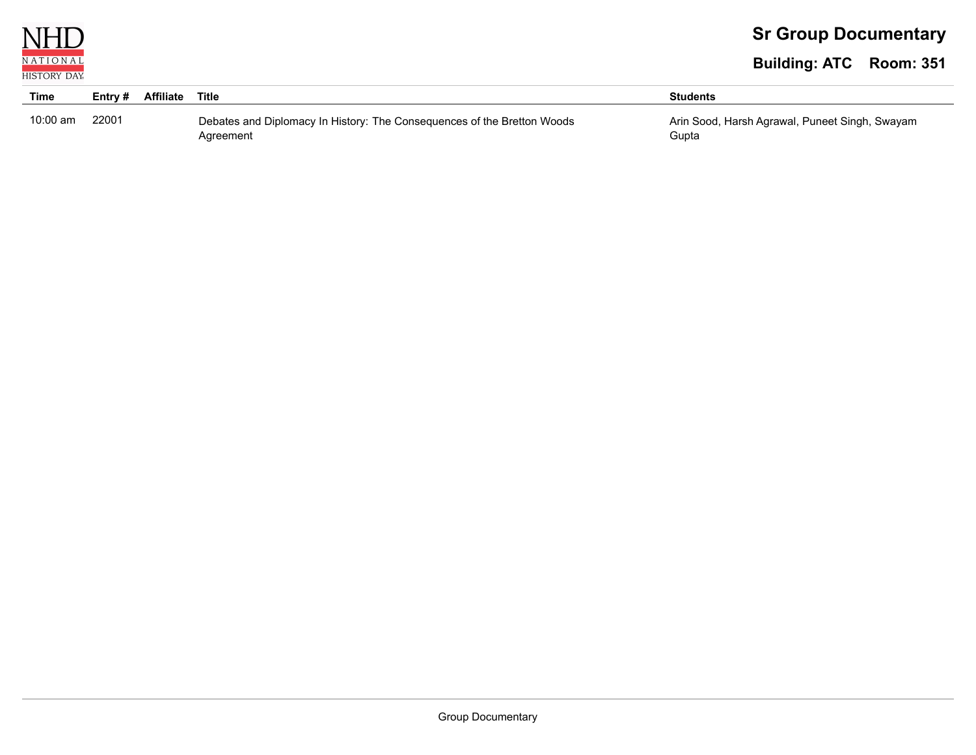

# **Sr Group Documentary**

| <b>Time</b> | Entry # | <b>Affiliate Title</b> |                                                                         | <b>Students</b>                                |
|-------------|---------|------------------------|-------------------------------------------------------------------------|------------------------------------------------|
| $10:00$ am  | 22001   |                        | Debates and Diplomacy In History: The Consequences of the Bretton Woods | Arin Sood, Harsh Agrawal, Puneet Singh, Swayam |
|             |         |                        | Agreement                                                               | Gupta                                          |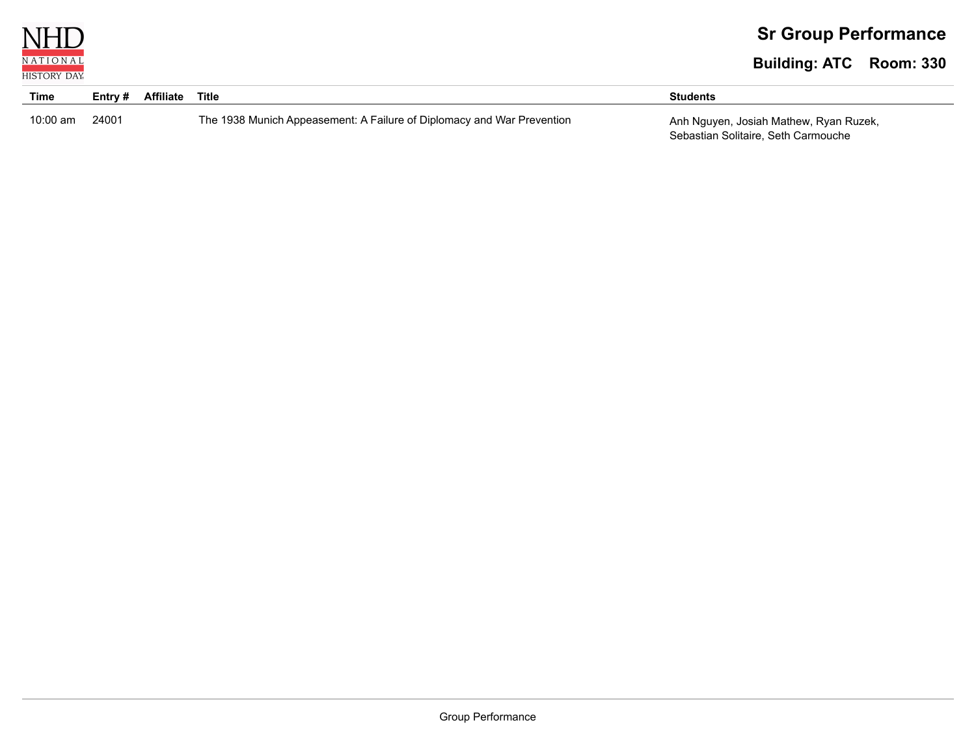

| Time       | Entry # | Affiliate | Title                                                                  | <b>Students</b>                        |
|------------|---------|-----------|------------------------------------------------------------------------|----------------------------------------|
| $10:00$ am | 24001   |           | The 1938 Munich Appeasement: A Failure of Diplomacy and War Prevention | Anh Nguyen, Josiah Mathew, Ryan Ruzek, |
|            |         |           |                                                                        | Sebastian Solitaire, Seth Carmouche    |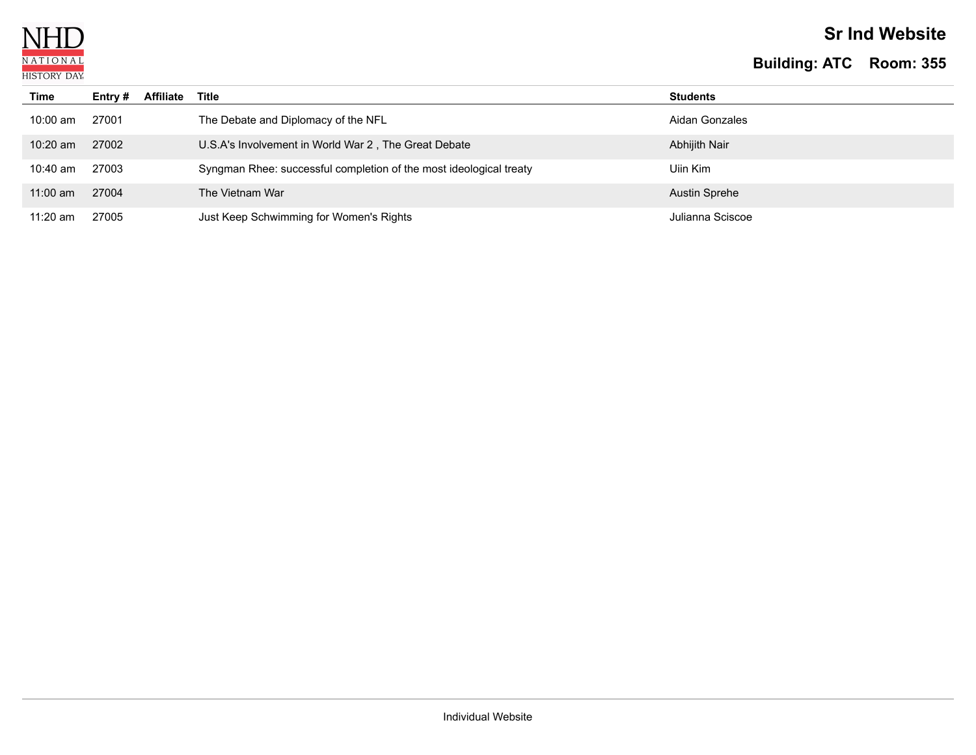

## **Sr Ind Website**

| Time       | Entry # | <b>Affiliate</b> | Title                                                              | <b>Students</b>  |
|------------|---------|------------------|--------------------------------------------------------------------|------------------|
| 10:00 am   | 27001   |                  | The Debate and Diplomacy of the NFL                                | Aidan Gonzales   |
| $10:20$ am | 27002   |                  | U.S.A's Involvement in World War 2, The Great Debate               | Abhijith Nair    |
| 10:40 am   | 27003   |                  | Syngman Rhee: successful completion of the most ideological treaty | Uiin Kim         |
| $11:00$ am | 27004   |                  | The Vietnam War                                                    | Austin Sprehe    |
| $11:20$ am | 27005   |                  | Just Keep Schwimming for Women's Rights                            | Julianna Sciscoe |